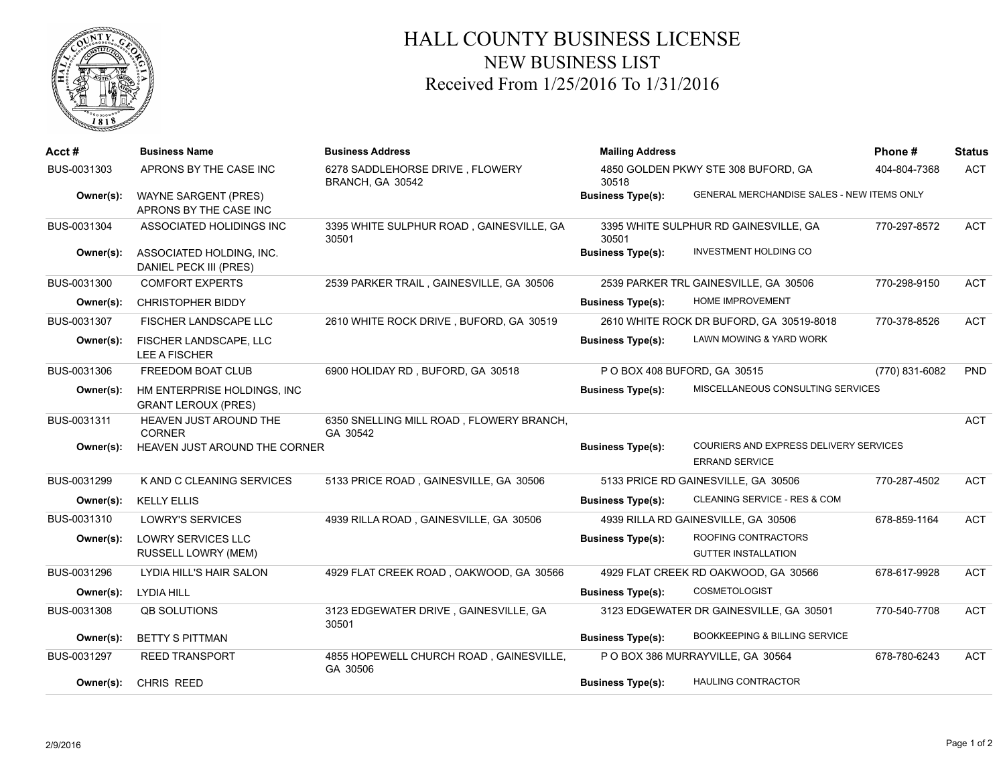

## HALL COUNTY BUSINESS LICENSE NEW BUSINESS LIST Received From 1/25/2016 To 1/31/2016

| Acct#       | <b>Business Name</b>                                      | <b>Business Address</b>                              | <b>Mailing Address</b>                       |                                                                 | Phone#         | <b>Status</b> |
|-------------|-----------------------------------------------------------|------------------------------------------------------|----------------------------------------------|-----------------------------------------------------------------|----------------|---------------|
| BUS-0031303 | APRONS BY THE CASE INC                                    | 6278 SADDLEHORSE DRIVE, FLOWERY<br>BRANCH, GA 30542  | 4850 GOLDEN PKWY STE 308 BUFORD, GA<br>30518 |                                                                 | 404-804-7368   | <b>ACT</b>    |
| Owner(s):   | <b>WAYNE SARGENT (PRES)</b><br>APRONS BY THE CASE INC     |                                                      | <b>Business Type(s):</b>                     | GENERAL MERCHANDISE SALES - NEW ITEMS ONLY                      |                |               |
| BUS-0031304 | ASSOCIATED HOLIDINGS INC                                  | 3395 WHITE SULPHUR ROAD, GAINESVILLE, GA<br>30501    | 30501                                        | 3395 WHITE SULPHUR RD GAINESVILLE, GA                           | 770-297-8572   | <b>ACT</b>    |
| Owner(s):   | ASSOCIATED HOLDING, INC.<br>DANIEL PECK III (PRES)        |                                                      | <b>Business Type(s):</b>                     | INVESTMENT HOLDING CO                                           |                |               |
| BUS-0031300 | <b>COMFORT EXPERTS</b>                                    | 2539 PARKER TRAIL, GAINESVILLE, GA 30506             |                                              | 2539 PARKER TRL GAINESVILLE, GA 30506                           | 770-298-9150   | <b>ACT</b>    |
| Owner(s):   | <b>CHRISTOPHER BIDDY</b>                                  |                                                      | <b>Business Type(s):</b>                     | HOME IMPROVEMENT                                                |                |               |
| BUS-0031307 | <b>FISCHER LANDSCAPE LLC</b>                              | 2610 WHITE ROCK DRIVE, BUFORD, GA 30519              |                                              | 2610 WHITE ROCK DR BUFORD, GA 30519-8018                        | 770-378-8526   | <b>ACT</b>    |
| Owner(s):   | FISCHER LANDSCAPE, LLC<br><b>LEE A FISCHER</b>            |                                                      | <b>Business Type(s):</b>                     | LAWN MOWING & YARD WORK                                         |                |               |
| BUS-0031306 | <b>FREEDOM BOAT CLUB</b>                                  | 6900 HOLIDAY RD, BUFORD, GA 30518                    | PO BOX 408 BUFORD, GA 30515                  |                                                                 | (770) 831-6082 | <b>PND</b>    |
| Owner(s):   | HM ENTERPRISE HOLDINGS, INC<br><b>GRANT LEROUX (PRES)</b> |                                                      | <b>Business Type(s):</b>                     | MISCELLANEOUS CONSULTING SERVICES                               |                |               |
| BUS-0031311 | HEAVEN JUST AROUND THE<br><b>CORNER</b>                   | 6350 SNELLING MILL ROAD, FLOWERY BRANCH,<br>GA 30542 |                                              |                                                                 |                | <b>ACT</b>    |
| Owner(s):   | HEAVEN JUST AROUND THE CORNER                             |                                                      | <b>Business Type(s):</b>                     | COURIERS AND EXPRESS DELIVERY SERVICES<br><b>ERRAND SERVICE</b> |                |               |
| BUS-0031299 | K AND C CLEANING SERVICES                                 | 5133 PRICE ROAD, GAINESVILLE, GA 30506               |                                              | 5133 PRICE RD GAINESVILLE, GA 30506                             | 770-287-4502   | <b>ACT</b>    |
| Owner(s):   | <b>KELLY ELLIS</b>                                        |                                                      | <b>Business Type(s):</b>                     | CLEANING SERVICE - RES & COM                                    |                |               |
| BUS-0031310 | <b>LOWRY'S SERVICES</b>                                   | 4939 RILLA ROAD, GAINESVILLE, GA 30506               |                                              | 4939 RILLA RD GAINESVILLE, GA 30506                             | 678-859-1164   | <b>ACT</b>    |
| Owner(s):   | <b>LOWRY SERVICES LLC</b>                                 |                                                      | <b>Business Type(s):</b>                     | ROOFING CONTRACTORS                                             |                |               |
|             | <b>RUSSELL LOWRY (MEM)</b>                                |                                                      |                                              | <b>GUTTER INSTALLATION</b>                                      |                |               |
| BUS-0031296 | LYDIA HILL'S HAIR SALON                                   | 4929 FLAT CREEK ROAD, OAKWOOD, GA 30566              |                                              | 4929 FLAT CREEK RD OAKWOOD, GA 30566                            | 678-617-9928   | <b>ACT</b>    |
| Owner(s):   | LYDIA HILL                                                |                                                      | <b>Business Type(s):</b>                     | <b>COSMETOLOGIST</b>                                            |                |               |
| BUS-0031308 | <b>QB SOLUTIONS</b>                                       | 3123 EDGEWATER DRIVE, GAINESVILLE, GA<br>30501       |                                              | 3123 EDGEWATER DR GAINESVILLE, GA 30501                         | 770-540-7708   | <b>ACT</b>    |
| Owner(s):   | <b>BETTY S PITTMAN</b>                                    |                                                      | <b>Business Type(s):</b>                     | <b>BOOKKEEPING &amp; BILLING SERVICE</b>                        |                |               |
| BUS-0031297 | <b>REED TRANSPORT</b>                                     | 4855 HOPEWELL CHURCH ROAD, GAINESVILLE,<br>GA 30506  |                                              | P O BOX 386 MURRAYVILLE, GA 30564                               | 678-780-6243   | <b>ACT</b>    |
| Owner(s):   | <b>CHRIS REED</b>                                         |                                                      | <b>Business Type(s):</b>                     | <b>HAULING CONTRACTOR</b>                                       |                |               |